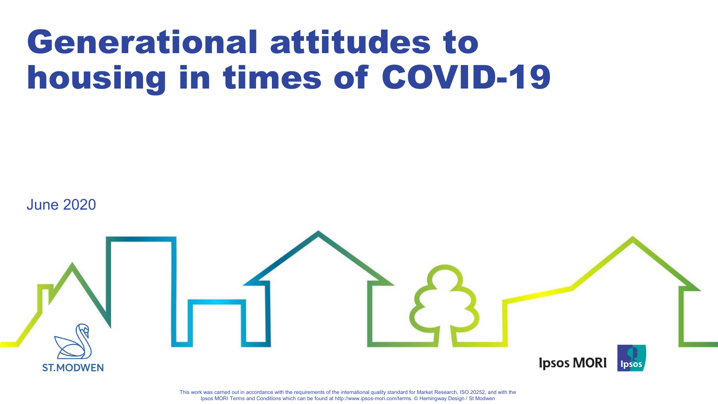# Generational attitudes to housing in times of COVID-19

June 2020



This work was carried out in accordance with the requirements of the international quality standard for Market Research, ISO 20252, and with the Ipsos MORI Terms and Conditions which can be found at http://www.ipsos-mori.com/terms. © Hemingway Design / St Modwen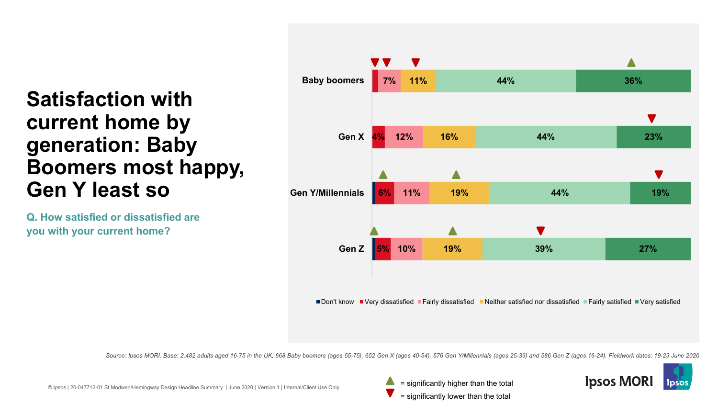### **Satisfaction with current home by generation: Baby Boomers most happy, Gen Y least so**

**Q. How satisfied or dissatisfied are you with your current home?**



*Source: Ipsos MORI. Base: 2,482 adults aged 16-75 in the UK; 668 Baby boomers (ages 55-75), 652 Gen X (ages 40-54), 576 Gen Y/Millennials (ages 25-39) and 586 Gen Z (ages 16-24). Fieldwork dates: 19-23 June 2020*



= significantly lower than the total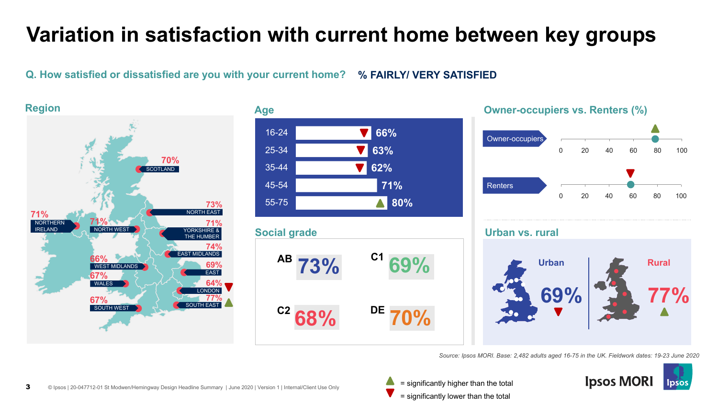### **Variation in satisfaction with current home between key groups**

#### **Q. How satisfied or dissatisfied are you with your current home? % FAIRLY/ VERY SATISFIED**



*Source: Ipsos MORI. Base: 2,482 adults aged 16-75 in the UK. Fieldwork dates: 19-23 June 2020*

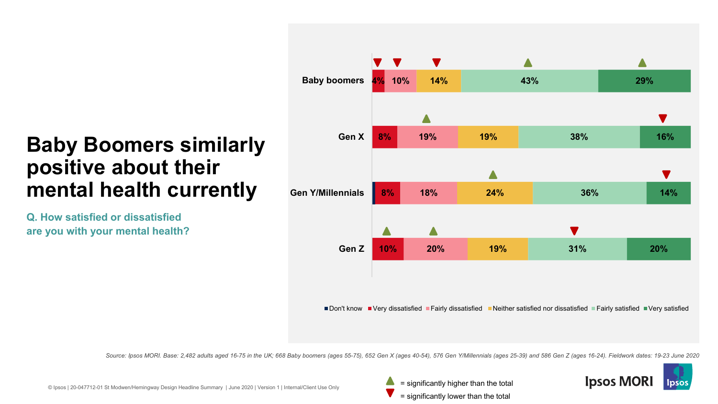### **Baby Boomers similarly positive about their mental health currently**

**Q. How satisfied or dissatisfied are you with your mental health?**



*Source: Ipsos MORI. Base: 2,482 adults aged 16-75 in the UK; 668 Baby boomers (ages 55-75), 652 Gen X (ages 40-54), 576 Gen Y/Millennials (ages 25-39) and 586 Gen Z (ages 16-24). Fieldwork dates: 19-23 June 2020*



© Ipsos | 20-047712-01 St Modwen/Hemingway Design Headline Summary | June 2020 | Version 1 | Internal/Client Use Only

= significantly lower than the total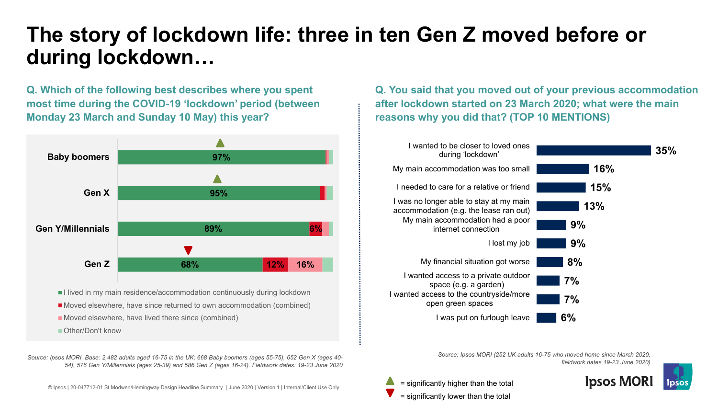### **The story of lockdown life: three in ten Gen Z moved before or during lockdown…**

**Q. Which of the following best describes where you spent most time during the COVID-19 'lockdown' period (between Monday 23 March and Sunday 10 May) this year?**



I lived in my main residence/accommodation continuously during lockdown ■ Moved elsewhere, have since returned to own accommodation (combined) Moved elsewhere, have lived there since (combined)

■ Other/Don't know

*Source: Ipsos MORI. Base: 2,482 adults aged 16-75 in the UK; 668 Baby boomers (ages 55-75), 652 Gen X (ages 40- 54), 576 Gen Y/Millennials (ages 25-39) and 586 Gen Z (ages 16-24). Fieldwork dates: 19-23 June 2020*

© Ipsos | 20-047712-01 St Modwen/Hemingway Design Headline Summary | June 2020 | Version 1 | Internal/Client Use Only

**Q. You said that you moved out of your previous accommodation after lockdown started on 23 March 2020; what were the main reasons why you did that? (TOP 10 MENTIONS)**



*Source: Ipsos MORI (252 UK adults 16-75 who moved home since March 2020, fieldwork dates 19-23 June 2020)*



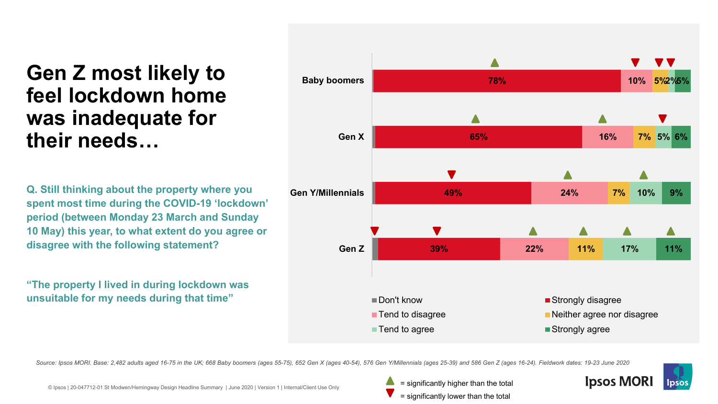### **Gen Z most likely to feel lockdown home was inadequate for their needs…**

**Q. Still thinking about the property where you spent most time during the COVID-19 'lockdown' period (between Monday 23 March and Sunday 10 May) this year, to what extent do you agree or disagree with the following statement?**

**"The property I lived in during lockdown was unsuitable for my needs during that time"**



*Source: Ipsos MORI. Base: 2,482 adults aged 16-75 in the UK; 668 Baby boomers (ages 55-75), 652 Gen X (ages 40-54), 576 Gen Y/Millennials (ages 25-39) and 586 Gen Z (ages 16-24). Fieldwork dates: 19-23 June 2020*

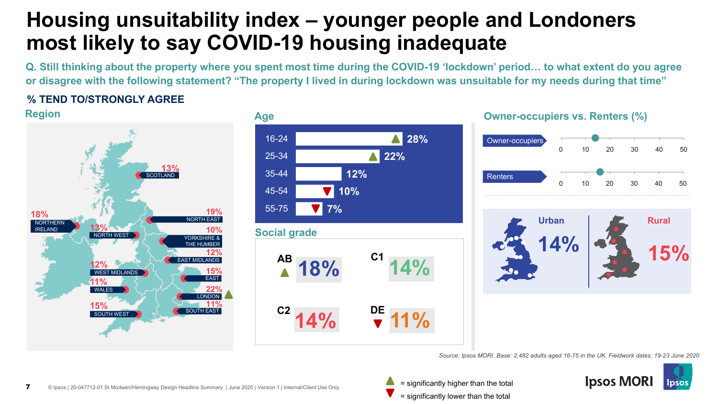### **Housing unsuitability index – younger people and Londoners most likely to say COVID-19 housing inadequate**

**Q. Still thinking about the property where you spent most time during the COVID-19 'lockdown' period… to what extent do you agree or disagree with the following statement? "The property I lived in during lockdown was unsuitable for my needs during that time"**

### **% TEND TO/STRONGLY AGREE**









*Source: Ipsos MORI. Base: 2,482 adults aged 16-75 in the UK. Fieldwork dates: 19-23 June 2020*

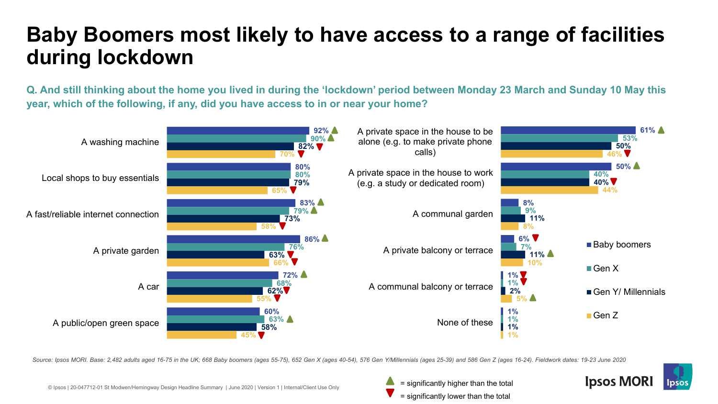### **Baby Boomers most likely to have access to a range of facilities during lockdown**

**Q. And still thinking about the home you lived in during the 'lockdown' period between Monday 23 March and Sunday 10 May this year, which of the following, if any, did you have access to in or near your home?**



*Source: Ipsos MORI. Base: 2,482 adults aged 16-75 in the UK; 668 Baby boomers (ages 55-75), 652 Gen X (ages 40-54), 576 Gen Y/Millennials (ages 25-39) and 586 Gen Z (ages 16-24). Fieldwork dates: 19-23 June 2020*



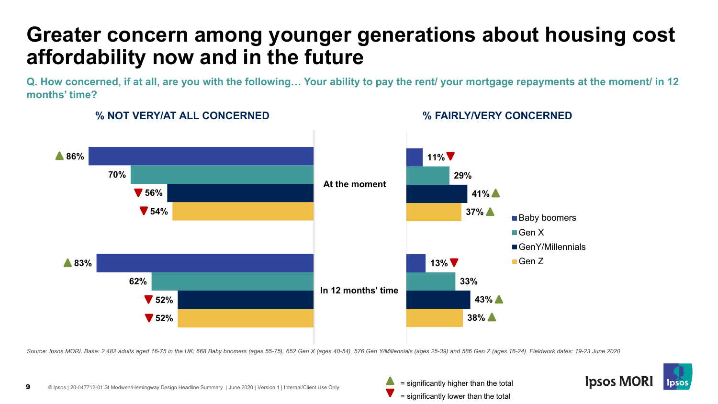### **Greater concern among younger generations about housing cost affordability now and in the future**

**Q. How concerned, if at all, are you with the following… Your ability to pay the rent/ your mortgage repayments at the moment/ in 12 months' time?**



### **% NOT VERY/AT ALL CONCERNED % FAIRLY/VERY CONCERNED**

*Source: Ipsos MORI. Base: 2,482 adults aged 16-75 in the UK; 668 Baby boomers (ages 55-75), 652 Gen X (ages 40-54), 576 Gen Y/Millennials (ages 25-39) and 586 Gen Z (ages 16-24). Fieldwork dates: 19-23 June 2020*



= significantly lower than the total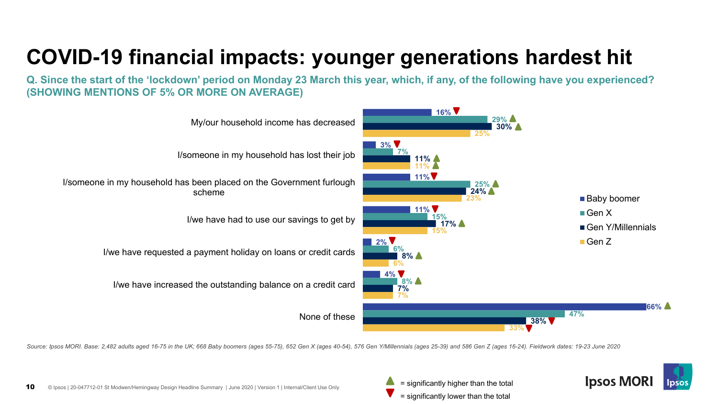## **COVID-19 financial impacts: younger generations hardest hit**

**Q. Since the start of the 'lockdown' period on Monday 23 March this year, which, if any, of the following have you experienced? (SHOWING MENTIONS OF 5% OR MORE ON AVERAGE)**



*Source: Ipsos MORI. Base: 2,482 adults aged 16-75 in the UK; 668 Baby boomers (ages 55-75), 652 Gen X (ages 40-54), 576 Gen Y/Millennials (ages 25-39) and 586 Gen Z (ages 16-24). Fieldwork dates: 19-23 June 2020*



= significantly lower than the total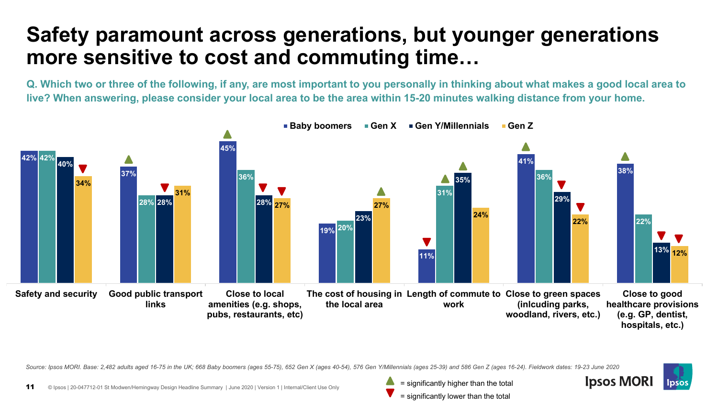### **Safety paramount across generations, but younger generations more sensitive to cost and commuting time…**

**Q. Which two or three of the following, if any, are most important to you personally in thinking about what makes a good local area to live? When answering, please consider your local area to be the area within 15-20 minutes walking distance from your home.**



*Source: Ipsos MORI. Base: 2,482 adults aged 16-75 in the UK; 668 Baby boomers (ages 55-75), 652 Gen X (ages 40-54), 576 Gen Y/Millennials (ages 25-39) and 586 Gen Z (ages 16-24). Fieldwork dates: 19-23 June 2020*

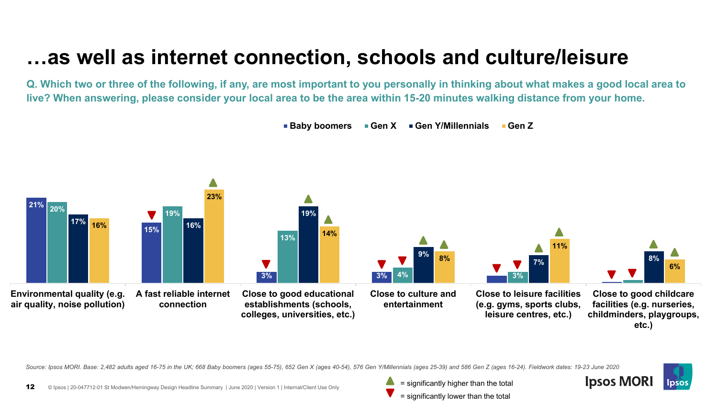### **…as well as internet connection, schools and culture/leisure**

**Q. Which two or three of the following, if any, are most important to you personally in thinking about what makes a good local area to live? When answering, please consider your local area to be the area within 15-20 minutes walking distance from your home.**



*Source: Ipsos MORI. Base: 2,482 adults aged 16-75 in the UK; 668 Baby boomers (ages 55-75), 652 Gen X (ages 40-54), 576 Gen Y/Millennials (ages 25-39) and 586 Gen Z (ages 16-24). Fieldwork dates: 19-23 June 2020*

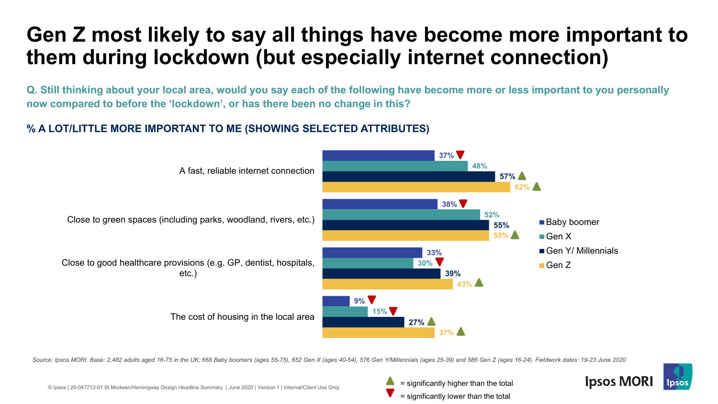### **Gen Z most likely to say all things have become more important to them during lockdown (but especially internet connection)**

**Q. Still thinking about your local area, would you say each of the following have become more or less important to you personally now compared to before the 'lockdown', or has there been no change in this?**

#### **% A LOT/LITTLE MORE IMPORTANT TO ME (SHOWING SELECTED ATTRIBUTES)**



*Source: Ipsos MORI. Base: 2,482 adults aged 16-75 in the UK; 668 Baby boomers (ages 55-75), 652 Gen X (ages 40-54), 576 Gen Y/Millennials (ages 25-39) and 586 Gen Z (ages 16-24). Fieldwork dates: 19-23 June 2020*



© Ipsos | 20-047712-01 St Modwen/Hemingway Design Headline Summary | June 2020 | Version 1 | Internal/Client Use Only

= significantly lower than the total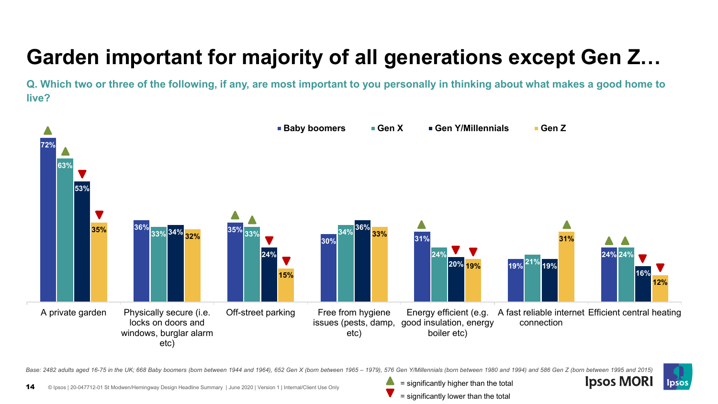## **Garden important for majority of all generations except Gen Z…**

**Q. Which two or three of the following, if any, are most important to you personally in thinking about what makes a good home to live?**



Base: 2482 adults aged 16-75 in the UK; 668 Baby boomers (born between 1944 and 1964), 652 Gen X (born between 1965 - 1979), 576 Gen Y/Millennials (born between 1980 and 1994) and 586 Gen Z (born between 1995 and 2015)



**Ipsos MORI**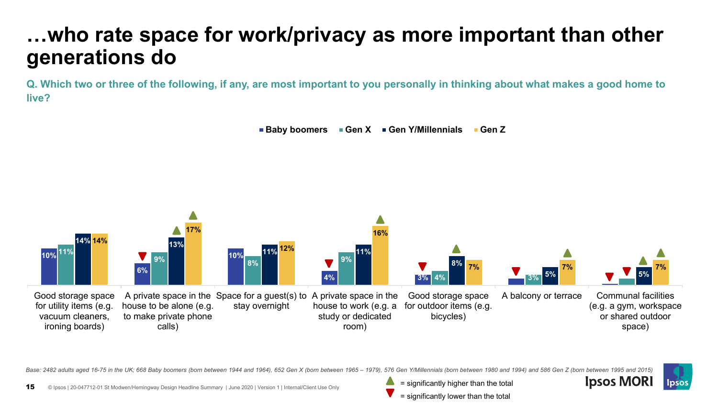### **…who rate space for work/privacy as more important than other generations do**

**Q. Which two or three of the following, if any, are most important to you personally in thinking about what makes a good home to live?**





Base: 2482 adults aged 16-75 in the UK; 668 Baby boomers (born between 1944 and 1964), 652 Gen X (born between 1965 - 1979), 576 Gen Y/Millennials (born between 1980 and 1994) and 586 Gen Z (born between 1995 and 2015)



- = significantly higher than the total
- = significantly lower than the total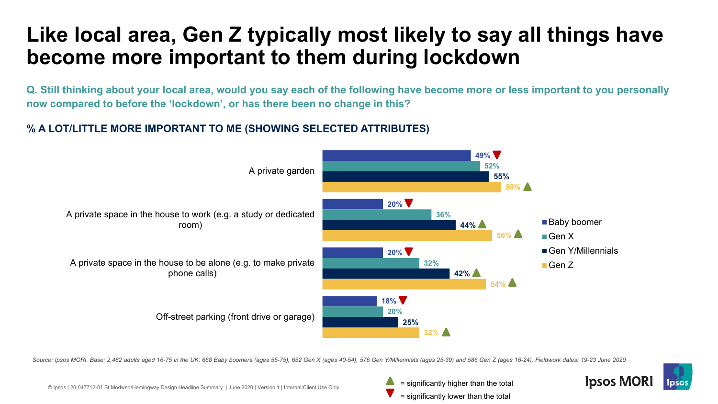### **Like local area, Gen Z typically most likely to say all things have become more important to them during lockdown**

**Q. Still thinking about your local area, would you say each of the following have become more or less important to you personally now compared to before the 'lockdown', or has there been no change in this?**

#### **% A LOT/LITTLE MORE IMPORTANT TO ME (SHOWING SELECTED ATTRIBUTES)**



*Source: Ipsos MORI. Base: 2,482 adults aged 16-75 in the UK; 668 Baby boomers (ages 55-75), 652 Gen X (ages 40-54), 576 Gen Y/Millennials (ages 25-39) and 586 Gen Z (ages 16-24). Fieldwork dates: 19-23 June 2020*



= significantly lower than the total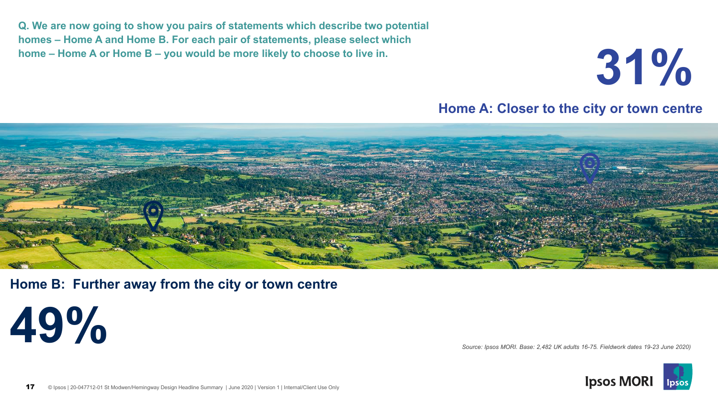**Q. We are now going to show you pairs of statements which describe two potential homes – Home A and Home B. For each pair of statements, please select which home – Home A or Home B – you would be more likely to choose to live in.**

**31%**

**Home A: Closer to the city or town centre**



**Home B: Further away from the city or town centre**

**49%**

*Source: Ipsos MORI. Base: 2,482 UK adults 16-75. Fieldwork dates 19-23 June 2020)*

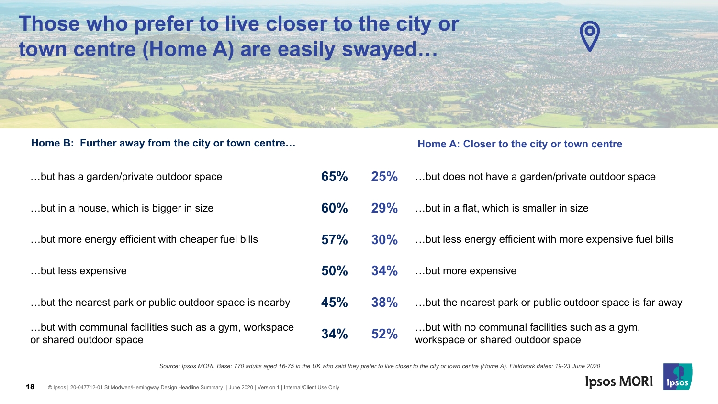### **Those who prefer to live closer to the city or town centre (Home A) are easily swayed…**

#### Home B: Further away from the city or town centre... **Home A: Closer to the city or town centre**

# ...but has a garden/private outdoor space ...but in a house, which is bigger in size ...but more energy efficient with cheaper fuel bills …but less expensive **50% 34%** …but more expensive ...but the nearest park or public outdoor space is nearby

| but has a garden/private outdoor space                                           | 65% | 25%    | but does not have a garden/private outdoor space                                    |
|----------------------------------------------------------------------------------|-----|--------|-------------------------------------------------------------------------------------|
| but in a house, which is bigger in size                                          | 60% | 29%    | but in a flat, which is smaller in size                                             |
| but more energy efficient with cheaper fuel bills                                | 57% | $30\%$ | but less energy efficient with more expensive fuel bills                            |
| but less expensive                                                               | 50% | 34%    | but more expensive                                                                  |
| but the nearest park or public outdoor space is nearby                           | 45% | 38%    | but the nearest park or public outdoor space is far away                            |
| but with communal facilities such as a gym, workspace<br>or shared outdoor space | 34% | 52%    | but with no communal facilities such as a gym,<br>workspace or shared outdoor space |

*Source: Ipsos MORI. Base: 770 adults aged 16-75 in the UK who said they prefer to live closer to the city or town centre (Home A). Fieldwork dates: 19-23 June 2020*

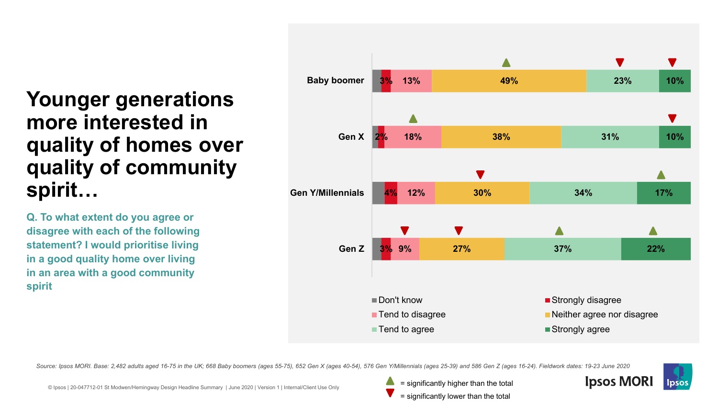### **Younger generations more interested in quality of homes over quality of community spirit…**

**Q. To what extent do you agree or disagree with each of the following statement? I would prioritise living in a good quality home over living in an area with a good community spirit**



*Source: Ipsos MORI. Base: 2,482 adults aged 16-75 in the UK; 668 Baby boomers (ages 55-75), 652 Gen X (ages 40-54), 576 Gen Y/Millennials (ages 25-39) and 586 Gen Z (ages 16-24). Fieldwork dates: 19-23 June 2020*



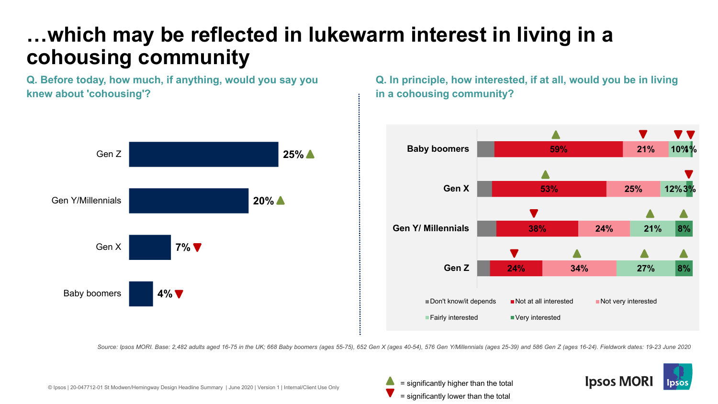### **…which may be reflected in lukewarm interest in living in a cohousing community**

**Q. Before today, how much, if anything, would you say you knew about 'cohousing'?**



**Q. In principle, how interested, if at all, would you be in living in a cohousing community?**



*Source: Ipsos MORI. Base: 2,482 adults aged 16-75 in the UK; 668 Baby boomers (ages 55-75), 652 Gen X (ages 40-54), 576 Gen Y/Millennials (ages 25-39) and 586 Gen Z (ages 16-24). Fieldwork dates: 19-23 June 2020*



= significantly lower than the total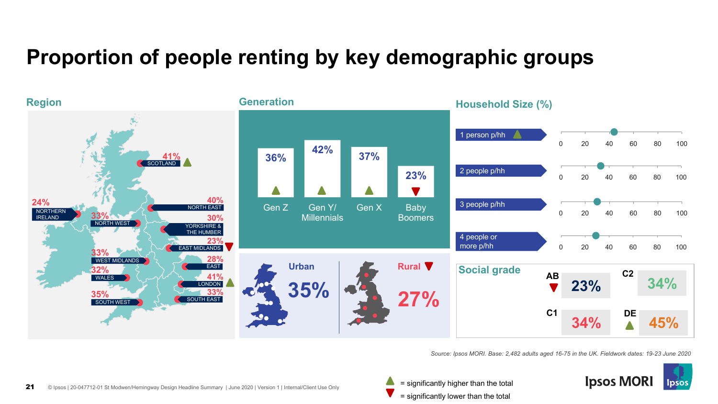### **Proportion of people renting by key demographic groups**



*Source: Ipsos MORI. Base: 2,482 adults aged 16-75 in the UK. Fieldwork dates: 19-23 June 2020*

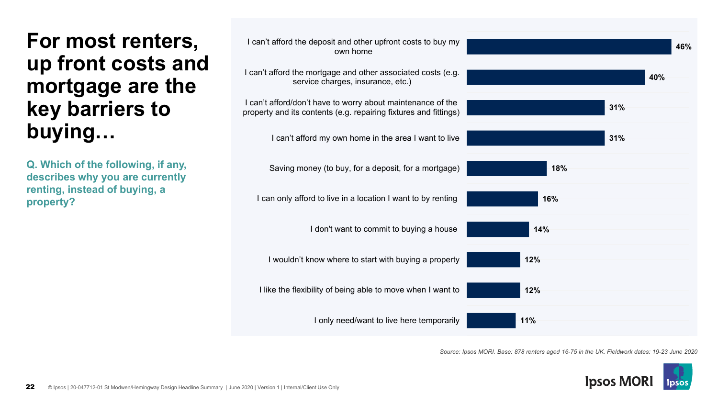

**Q. Which of the following, if any, describes why you are currently renting, instead of buying, a property?**



*Source: Ipsos MORI. Base: 878 renters aged 16-75 in the UK. Fieldwork dates: 19-23 June 2020*

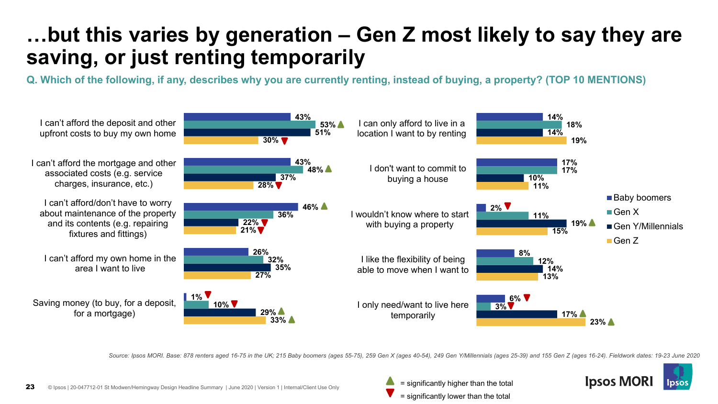### **…but this varies by generation – Gen Z most likely to say they are saving, or just renting temporarily**

**Q. Which of the following, if any, describes why you are currently renting, instead of buying, a property? (TOP 10 MENTIONS)**



*Source: Ipsos MORI. Base: 878 renters aged 16-75 in the UK; 215 Baby boomers (ages 55-75), 259 Gen X (ages 40-54), 249 Gen Y/Millennials (ages 25-39) and 155 Gen Z (ages 16-24). Fieldwork dates: 19-23 June 2020*

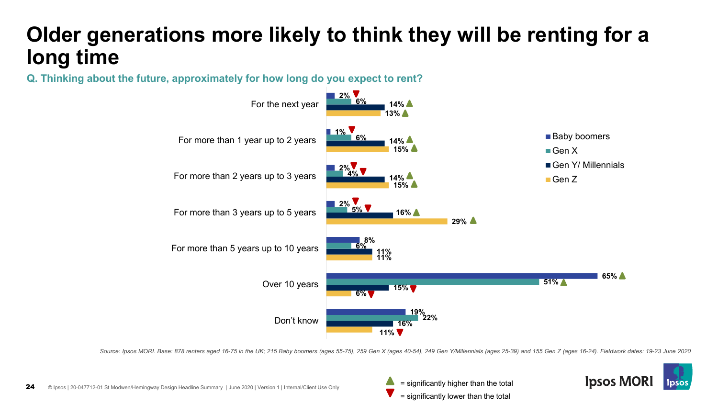### **Older generations more likely to think they will be renting for a long time**

**Q. Thinking about the future, approximately for how long do you expect to rent?**



*Source: Ipsos MORI. Base: 878 renters aged 16-75 in the UK; 215 Baby boomers (ages 55-75), 259 Gen X (ages 40-54), 249 Gen Y/Millennials (ages 25-39) and 155 Gen Z (ages 16-24). Fieldwork dates: 19-23 June 2020*



= significantly lower than the total